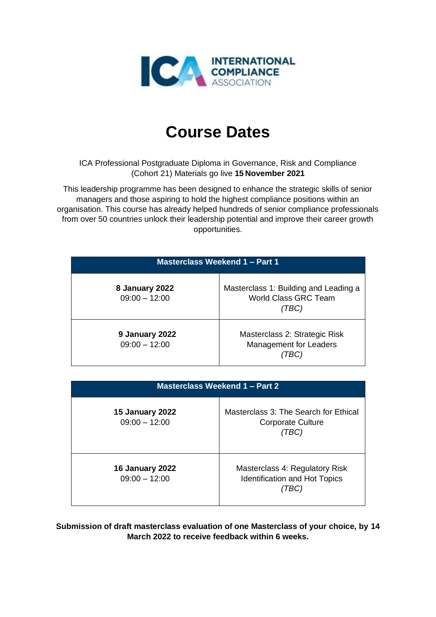

## **Course Dates**

ICA Professional Postgraduate Diploma in Governance, Risk and Compliance (Cohort 21) Materials go live **15 November 2021**

This leadership programme has been designed to enhance the strategic skills of senior managers and those aspiring to hold the highest compliance positions within an organisation. This course has already helped hundreds of senior compliance professionals from over 50 countries unlock their leadership potential and improve their career growth opportunities.

| <b>Masterclass Weekend 1 - Part 1</b> |                                                                              |  |
|---------------------------------------|------------------------------------------------------------------------------|--|
| 8 January 2022<br>$09:00 - 12:00$     | Masterclass 1: Building and Leading a<br><b>World Class GRC Team</b><br>TBC) |  |
| 9 January 2022<br>$09:00 - 12:00$     | Masterclass 2: Strategic Risk<br>Management for Leaders                      |  |

| Masterclass Weekend 1 - Part 2            |                                                                               |  |
|-------------------------------------------|-------------------------------------------------------------------------------|--|
| <b>15 January 2022</b><br>$09:00 - 12:00$ | Masterclass 3: The Search for Ethical<br><b>Corporate Culture</b><br>(TBC)    |  |
| <b>16 January 2022</b><br>$09:00 - 12:00$ | Masterclass 4: Regulatory Risk<br><b>Identification and Hot Topics</b><br>IBC |  |

**Submission of draft masterclass evaluation of one Masterclass of your choice, by 14 March 2022 to receive feedback within 6 weeks.**